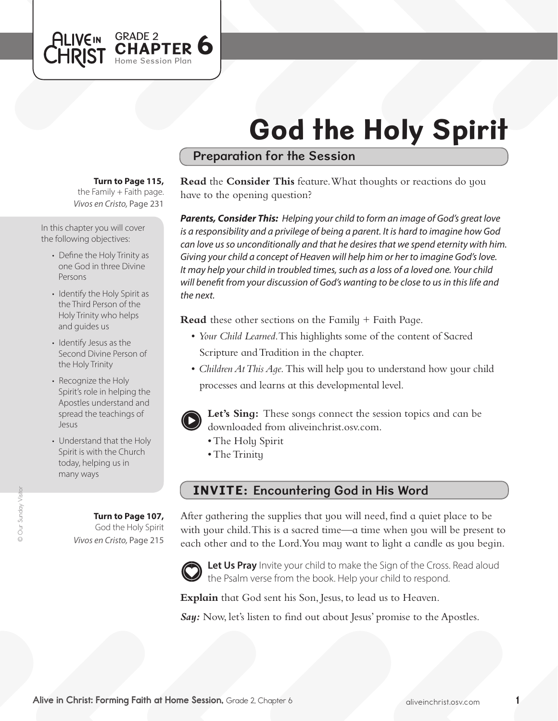# God the Holy Spirit

## Preparation for the Session

#### **Turn to Page 115,**

GRADE 2

Home Session Plan

**TER 6** 

*Vivos en Cristo,* Page 231 the Family  $+$  Faith page.

In this chapter you will cover the following objectives:

**ALIVEIN** 

CHRIST

- Define the Holy Trinity as one God in three Divine Persons
- Identify the Holy Spirit as the Third Person of the Holy Trinity who helps and guides us
- Identify Jesus as the Second Divine Person of the Holy Trinity
- Recognize the Holy Spirit's role in helping the Apostles understand and spread the teachings of Jesus
- Understand that the Holy Spirit is with the Church today, helping us in many ways

**Turn to Page 107,** God the Holy Spirit *Vivos en Cristo,* Page 215

### **Read** the **Consider This** feature. What thoughts or reactions do you have to the opening question?

*Parents, Consider This: Helping your child to form an image of God's great love is a responsibility and a privilege of being a parent. It is hard to imagine how God can love us so unconditionally and that he desires that we spend eternity with him. Giving your child a concept of Heaven will help him or her to imagine God's love. It may help your child in troubled times, such as a loss of a loved one. Your child will benefit from your discussion of God's wanting to be close to us in this life and the next.*

**Read** these other sections on the Family + Faith Page.

- *Your Child Learned*. This highlights some of the content of Sacred Scripture and Tradition in the chapter.
- *Children At This Aqe*. This will help you to understand how your child processes and learns at this developmental level.



**Let's Sing:** These songs connect the session topics and can be downloaded from aliveinchrist.osv.com.

- The Holy Spirit
- The Trinity

## INVITE: Encountering God in His Word

After gathering the supplies that you will need, find a quiet place to be with your child. This is a sacred time—a time when you will be present to each other and to the Lord. You may want to light a candle as you begin.



Let Us Pray Invite your child to make the Sign of the Cross. Read aloud the Psalm verse from the book. Help your child to respond.

**Explain** that God sent his Son, Jesus, to lead us to Heaven.

**Say:** Now, let's listen to find out about Jesus' promise to the Apostles.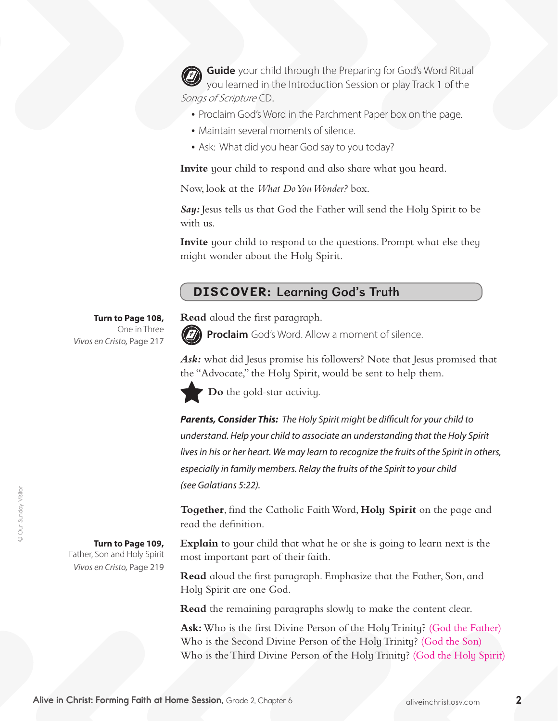**Guide** your child through the Preparing for God's Word Ritual you learned in the Introduction Session or play Track 1 of the Songs of Scripture CD.

- Proclaim God's Word in the Parchment Paper box on the page.
- Maintain several moments of silence.
- Ask: What did you hear God say to you today?

**Invite** your child to respond and also share what you heard.

Now, look at the *What Do You Wonder?* box.

*Say:* Jesus tells us that God the Father will send the Holy Spirit to be with us.

**Invite** your child to respond to the questions. Prompt what else they might wonder about the Holy Spirit.

## DISCOVER: Learning God's Truth

**Turn to Page 108,** One in Three *Vivos en Cristo,* Page 217

**Read** aloud the first paragraph.



**Proclaim** God's Word. Allow a moment of silence.

Ask: what did Jesus promise his followers? Note that Jesus promised that the "Advocate," the Holy Spirit, would be sent to help them.



**Do** the gold-star activity.

*Parents, Consider This: The Holy Spirit might be difficult for your child to understand. Help your child to associate an understanding that the Holy Spirit lives in his or her heart. We may learn to recognize the fruits of the Spirit in others, especially in family members. Relay the fruits of the Spirit to your child (see Galatians 5:22).*

**Together**, find the Catholic Faith Word, **Holy Spirit** on the page and read the definition.

**Explain** to your child that what he or she is going to learn next is the most important part of their faith.

**Read** aloud the first paragraph. Emphasize that the Father, Son, and Holy Spirit are one God.

**Read** the remaining paragraphs slowly to make the content clear.

Ask: Who is the first Divine Person of the Holy Trinity? (God the Father) Who is the Second Divine Person of the HolyTrinity? (God the Son) Who is the Third Divine Person of the Holy Trinity? (God the Holy Spirit)

**Turn to Page 109,** 

Father, Son and Holy Spirit *Vivos en Cristo,* Page 219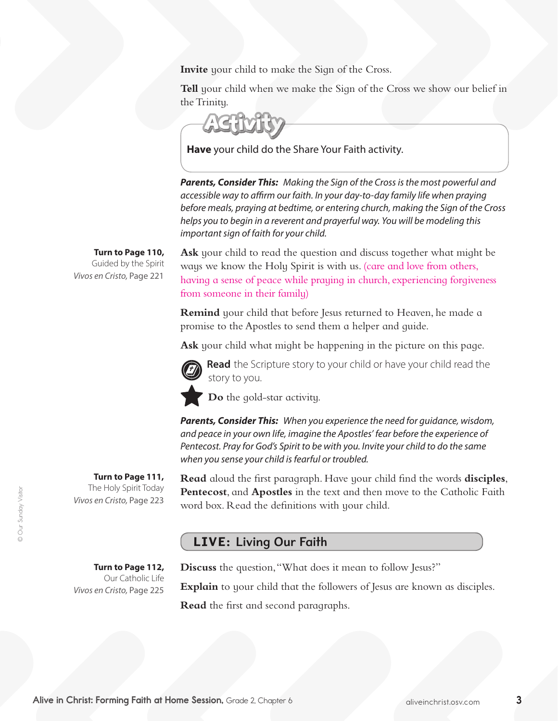**Invite** your child to make the Sign of the Cross.

**Tell** your child when we make the Sign of the Cross we show our belief in the Trinity.

**Have** your child do the Share Your Faith activity.

*Parents, Consider This: Making the Sign of the Cross is the most powerful and accessible way to affirm our faith. In your day-to-day family life when praying before meals, praying at bedtime, or entering church, making the Sign of the Cross helps you to begin in a reverent and prayerful way. You will be modeling this important sign of faith for your child.*

**Turn to Page 110,**  Guided by the Spirit

*Vivos en Cristo,* Page 221

**Ask** your child to read the question and discuss together what might be ways we know the Holy Spirit is with us. (care and love from others, having a sense of peace while praying in church, experiencing forgiveness from someone in their family)

**Remind** your child that before Jesus returned to Heaven, he made a promise to the Apostles to send them a helper and guide.

**Ask** your child what might be happening in the picture on this page.



**Read** the Scripture story to your child or have your child read the story to you.

**Do** the gold-star activity.

*Parents, Consider This: When you experience the need for guidance, wisdom, and peace in your own life, imagine the Apostles' fear before the experience of Pentecost. Pray for God's Spirit to be with you. Invite your child to do the same when you sense your child is fearful or troubled.*

**Read** aloud the first paragraph. Have your child find the words **disciples**, **Pentecost**, and **Apostles** in the text and then move to the Catholic Faith word box. Read the definitions with your child.

## LIVE: Living Our Faith

**Turn to Page 112,**  Our Catholic Life *Vivos en Cristo,* Page 225

**Turn to Page 111,** The Holy Spirit Today

*Vivos en Cristo,* Page 223

**Discuss** the question, "What does it mean to follow Jesus?"

**Explain** to your child that the followers of Jesus are known as disciples.

**Read** the first and second paragraphs.